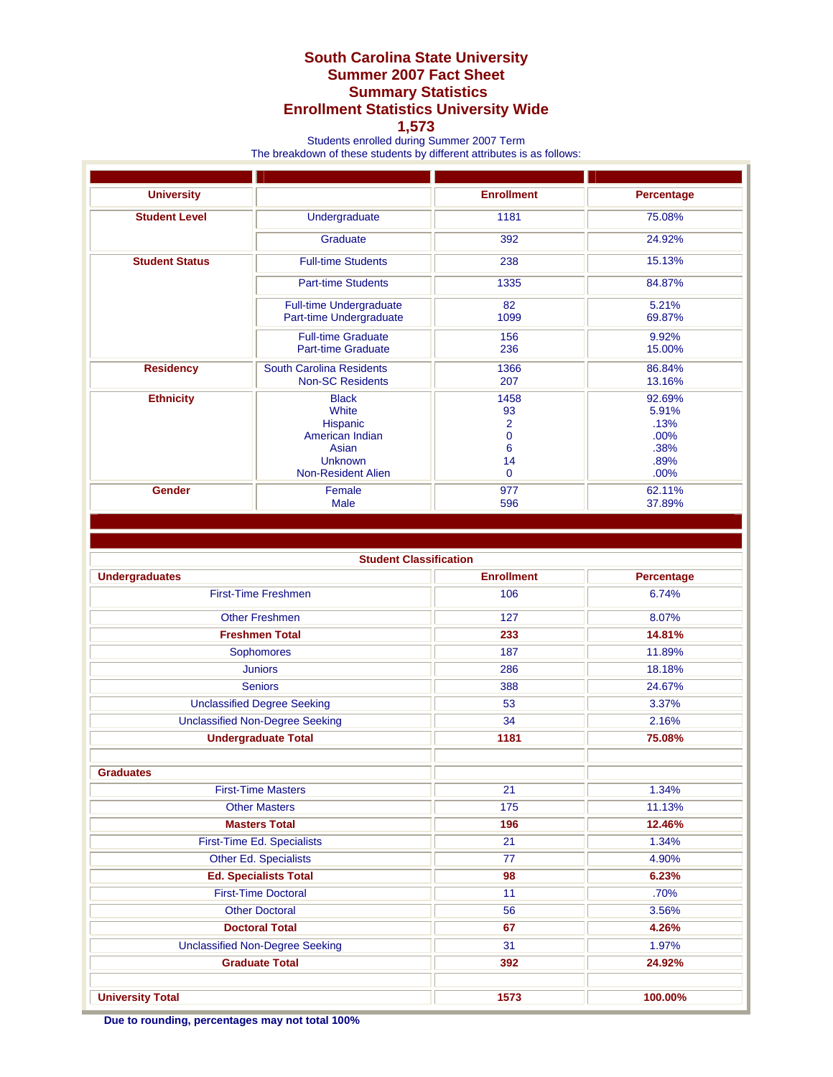## **South Carolina State University Summer 2007 Fact Sheet Summary Statistics Enrollment Statistics University Wide**

## **1,573**

Students enrolled during Summer 2007 Term

The breakdown of these students by different attributes is as follows:

| <b>University</b>     |                                 | <b>Enrollment</b> | Percentage |
|-----------------------|---------------------------------|-------------------|------------|
| <b>Student Level</b>  | Undergraduate                   | 1181              | 75.08%     |
|                       | Graduate                        | 392               | 24.92%     |
| <b>Student Status</b> | <b>Full-time Students</b>       | 238               | 15.13%     |
|                       | <b>Part-time Students</b>       | 1335              | 84.87%     |
|                       | <b>Full-time Undergraduate</b>  | 82                | 5.21%      |
|                       | Part-time Undergraduate         | 1099              | 69.87%     |
|                       | <b>Full-time Graduate</b>       | 156               | 9.92%      |
|                       | <b>Part-time Graduate</b>       | 236               | 15.00%     |
| <b>Residency</b>      | <b>South Carolina Residents</b> | 1366              | 86.84%     |
|                       | <b>Non-SC Residents</b>         | 207               | 13.16%     |
| <b>Ethnicity</b>      | <b>Black</b>                    | 1458              | 92.69%     |
|                       | White                           | 93                | 5.91%      |
|                       | <b>Hispanic</b>                 | 2                 | .13%       |
|                       | American Indian                 | $\overline{0}$    | .00%       |
|                       | Asian                           | 6                 | .38%       |
|                       | <b>Unknown</b>                  | 14                | .89%       |
|                       | <b>Non-Resident Alien</b>       | $\Omega$          | .00%       |
| Gender                | Female                          | 977               | 62.11%     |
|                       | Male                            | 596               | 37.89%     |
|                       |                                 |                   |            |

**Student Classification** 

| <b>Undergraduates</b>                  | <b>Enrollment</b> | Percentage |
|----------------------------------------|-------------------|------------|
| <b>First-Time Freshmen</b>             | 106               | 6.74%      |
| <b>Other Freshmen</b>                  | 127               | 8.07%      |
| <b>Freshmen Total</b>                  | 233               | 14.81%     |
| Sophomores                             | 187               | 11.89%     |
| <b>Juniors</b>                         | 286               | 18.18%     |
| <b>Seniors</b>                         | 388               | 24.67%     |
| <b>Unclassified Degree Seeking</b>     | 53                | 3.37%      |
| <b>Unclassified Non-Degree Seeking</b> | 34                | 2.16%      |
| <b>Undergraduate Total</b>             | 1181              | 75.08%     |
|                                        |                   |            |
| <b>Graduates</b>                       |                   |            |
| <b>First-Time Masters</b>              | 21                | 1.34%      |
| <b>Other Masters</b>                   | 175               | 11.13%     |
| <b>Masters Total</b>                   | 196               | 12.46%     |
| First-Time Ed. Specialists             | 21                | 1.34%      |
| Other Ed. Specialists                  | 77                | 4.90%      |
| <b>Ed. Specialists Total</b>           | 98                | 6.23%      |
| <b>First-Time Doctoral</b>             | 11                | .70%       |
| <b>Other Doctoral</b>                  | 56                | 3.56%      |
| <b>Doctoral Total</b>                  | 67                | 4.26%      |
| <b>Unclassified Non-Degree Seeking</b> | 31                | 1.97%      |
| <b>Graduate Total</b>                  | 392               | 24.92%     |
|                                        |                   |            |
| <b>University Total</b>                | 1573              | 100.00%    |

**Due to rounding, percentages may not total 100%**